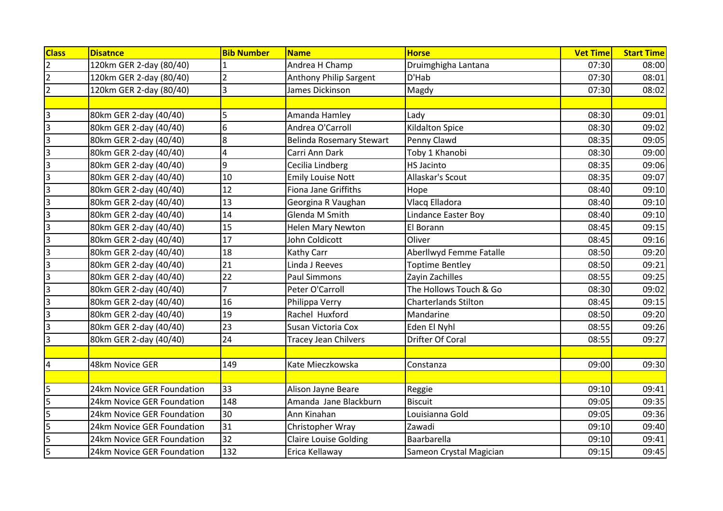| <b>Class</b>            | <b>Disatnce</b>            | <b>Bib Number</b> | <b>Name</b>                     | <b>Horse</b>                | <b>Vet Time</b> | <b>Start Time</b> |
|-------------------------|----------------------------|-------------------|---------------------------------|-----------------------------|-----------------|-------------------|
| $\overline{2}$          | 120km GER 2-day (80/40)    |                   | Andrea H Champ                  | Druimghigha Lantana         | 07:30           | 08:00             |
| $\overline{2}$          | 120km GER 2-day (80/40)    | $\overline{2}$    | Anthony Philip Sargent          | D'Hab                       | 07:30           | 08:01             |
| $\overline{c}$          | 120km GER 2-day (80/40)    | 3                 | James Dickinson                 | Magdy                       | 07:30           | 08:02             |
|                         |                            |                   |                                 |                             |                 |                   |
| 3                       | 80km GER 2-day (40/40)     | 5                 | Amanda Hamley                   | Lady                        | 08:30           | 09:01             |
| $\overline{3}$          | 80km GER 2-day (40/40)     | 6                 | Andrea O'Carroll                | <b>Kildalton Spice</b>      | 08:30           | 09:02             |
| $\overline{3}$          | 80km GER 2-day (40/40)     | 8                 | <b>Belinda Rosemary Stewart</b> | Penny Clawd                 | 08:35           | 09:05             |
| $\overline{\mathbf{3}}$ | 80km GER 2-day (40/40)     | $\overline{4}$    | Carri Ann Dark                  | Toby 1 Khanobi              | 08:30           | 09:00             |
| $\overline{\mathbf{3}}$ | 80km GER 2-day (40/40)     | 9                 | Cecilia Lindberg                | <b>HS Jacinto</b>           | 08:35           | 09:06             |
| $\overline{\mathbf{3}}$ | 80km GER 2-day (40/40)     | 10                | <b>Emily Louise Nott</b>        | Allaskar's Scout            | 08:35           | 09:07             |
| $\overline{\mathbf{3}}$ | 80km GER 2-day (40/40)     | 12                | <b>Fiona Jane Griffiths</b>     | Hope                        | 08:40           | 09:10             |
| $\overline{3}$          | 80km GER 2-day (40/40)     | 13                | Georgina R Vaughan              | Vlacq Elladora              | 08:40           | 09:10             |
| $\overline{3}$          | 80km GER 2-day (40/40)     | 14                | Glenda M Smith                  | Lindance Easter Boy         | 08:40           | 09:10             |
| 3                       | 80km GER 2-day (40/40)     | 15                | <b>Helen Mary Newton</b>        | El Borann                   | 08:45           | 09:15             |
| $\overline{\mathbf{3}}$ | 80km GER 2-day (40/40)     | 17                | John Coldicott                  | Oliver                      | 08:45           | 09:16             |
| $\overline{\mathbf{3}}$ | 80km GER 2-day (40/40)     | 18                | Kathy Carr                      | Aberllwyd Femme Fatalle     | 08:50           | 09:20             |
| $\overline{\mathbf{3}}$ | 80km GER 2-day (40/40)     | 21                | Linda J Reeves                  | <b>Toptime Bentley</b>      | 08:50           | 09:21             |
| 3                       | 80km GER 2-day (40/40)     | 22                | <b>Paul Simmons</b>             | Zayin Zachilles             | 08:55           | 09:25             |
| 3                       | 80km GER 2-day (40/40)     |                   | Peter O'Carroll                 | The Hollows Touch & Go      | 08:30           | 09:02             |
| 3                       | 80km GER 2-day (40/40)     | 16                | Philippa Verry                  | <b>Charterlands Stilton</b> | 08:45           | 09:15             |
| $\overline{\mathbf{3}}$ | 80km GER 2-day (40/40)     | 19                | Rachel Huxford                  | Mandarine                   | 08:50           | 09:20             |
| $\overline{3}$          | 80km GER 2-day (40/40)     | 23                | Susan Victoria Cox              | Eden El Nyhl                | 08:55           | 09:26             |
| 3                       | 80km GER 2-day (40/40)     | 24                | <b>Tracey Jean Chilvers</b>     | Drifter Of Coral            | 08:55           | 09:27             |
|                         |                            |                   |                                 |                             |                 |                   |
| $\overline{4}$          | 48km Novice GER            | 149               | Kate Mieczkowska                | Constanza                   | 09:00           | 09:30             |
|                         |                            |                   |                                 |                             |                 |                   |
| 5                       | 24km Novice GER Foundation | 33                | Alison Jayne Beare              | Reggie                      | 09:10           | 09:41             |
| 5                       | 24km Novice GER Foundation | 148               | Amanda Jane Blackburn           | <b>Biscuit</b>              | 09:05           | 09:35             |
| 5                       | 24km Novice GER Foundation | 30                | Ann Kinahan                     | Louisianna Gold             | 09:05           | 09:36             |
| 5                       | 24km Novice GER Foundation | 31                | Christopher Wray                | Zawadi                      | 09:10           | 09:40             |
| 5                       | 24km Novice GER Foundation | 32                | <b>Claire Louise Golding</b>    | Baarbarella                 | 09:10           | 09:41             |
| 5                       | 24km Novice GER Foundation | 132               | Erica Kellaway                  | Sameon Crystal Magician     | 09:15           | 09:45             |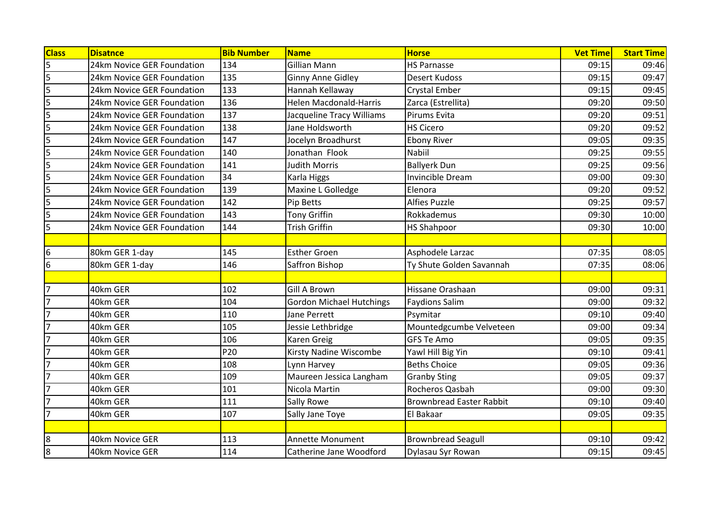| <b>Class</b>            | <b>Disatnce</b>            | <b>Bib Number</b> | <b>Name</b>                     | <b>Horse</b>                    | <b>Vet Time</b> | <b>Start Time</b> |
|-------------------------|----------------------------|-------------------|---------------------------------|---------------------------------|-----------------|-------------------|
| 5                       | 24km Novice GER Foundation | 134               | Gillian Mann                    | <b>HS Parnasse</b>              | 09:15           | 09:46             |
| $\overline{\mathbf{5}}$ | 24km Novice GER Foundation | 135               | <b>Ginny Anne Gidley</b>        | <b>Desert Kudoss</b>            | 09:15           | 09:47             |
| 5                       | 24km Novice GER Foundation | 133               | Hannah Kellaway                 | <b>Crystal Ember</b>            | 09:15           | 09:45             |
| 5                       | 24km Novice GER Foundation | 136               | <b>Helen Macdonald-Harris</b>   | Zarca (Estrellita)              | 09:20           | 09:50             |
| 5                       | 24km Novice GER Foundation | 137               | Jacqueline Tracy Williams       | Pirums Evita                    | 09:20           | 09:51             |
| 5                       | 24km Novice GER Foundation | 138               | Jane Holdsworth                 | <b>HS Cicero</b>                | 09:20           | 09:52             |
| 5                       | 24km Novice GER Foundation | 147               | Jocelyn Broadhurst              | <b>Ebony River</b>              | 09:05           | 09:35             |
| 5                       | 24km Novice GER Foundation | 140               | Jonathan Flook                  | <b>Nabiil</b>                   | 09:25           | 09:55             |
| $\overline{\mathbf{5}}$ | 24km Novice GER Foundation | 141               | <b>Judith Morris</b>            | <b>Ballyerk Dun</b>             | 09:25           | 09:56             |
| 5                       | 24km Novice GER Foundation | 34                | Karla Higgs                     | Invincible Dream                | 09:00           | 09:30             |
| $\overline{\mathbf{5}}$ | 24km Novice GER Foundation | 139               | Maxine L Golledge               | Elenora                         | 09:20           | 09:52             |
| 5                       | 24km Novice GER Foundation | 142               | Pip Betts                       | <b>Alfies Puzzle</b>            | 09:25           | 09:57             |
| 5                       | 24km Novice GER Foundation | 143               | <b>Tony Griffin</b>             | Rokkademus                      | 09:30           | 10:00             |
| 5                       | 24km Novice GER Foundation | 144               | <b>Trish Griffin</b>            | <b>HS Shahpoor</b>              | 09:30           | 10:00             |
|                         |                            |                   |                                 |                                 |                 |                   |
| 6                       | 80km GER 1-day             | 145               | <b>Esther Groen</b>             | Asphodele Larzac                | 07:35           | 08:05             |
| l6                      | 80km GER 1-day             | 146               | Saffron Bishop                  | Ty Shute Golden Savannah        | 07:35           | 08:06             |
|                         |                            |                   |                                 |                                 |                 |                   |
| 7                       | 40km GER                   | 102               | Gill A Brown                    | Hissane Orashaan                | 09:00           | 09:31             |
| $\overline{7}$          | 40km GER                   | 104               | <b>Gordon Michael Hutchings</b> | <b>Faydions Salim</b>           | 09:00           | 09:32             |
| $\overline{7}$          | 40km GER                   | 110               | Jane Perrett                    | Psymitar                        | 09:10           | 09:40             |
| $\overline{7}$          | 40km GER                   | 105               | Jessie Lethbridge               | Mountedgcumbe Velveteen         | 09:00           | 09:34             |
| $\overline{7}$          | 40km GER                   | 106               | Karen Greig                     | <b>GFS Te Amo</b>               | 09:05           | 09:35             |
| $\overline{ }$          | 40km GER                   | P20               | Kirsty Nadine Wiscombe          | Yawl Hill Big Yin               | 09:10           | 09:41             |
| $\overline{7}$          | 40km GER                   | 108               | Lynn Harvey                     | <b>Beths Choice</b>             | 09:05           | 09:36             |
| $\overline{7}$          | 40km GER                   | 109               | Maureen Jessica Langham         | <b>Granby Sting</b>             | 09:05           | 09:37             |
| $\overline{7}$          | 40km GER                   | 101               | Nicola Martin                   | Rocheros Qasbah                 | 09:00           | 09:30             |
| $\overline{7}$          | 40km GER                   | 111               | <b>Sally Rowe</b>               | <b>Brownbread Easter Rabbit</b> | 09:10           | 09:40             |
| $\overline{7}$          | 40km GER                   | 107               | Sally Jane Toye                 | El Bakaar                       | 09:05           | 09:35             |
|                         |                            |                   |                                 |                                 |                 |                   |
| 8                       | 40km Novice GER            | 113               | <b>Annette Monument</b>         | <b>Brownbread Seagull</b>       | 09:10           | 09:42             |
| 8                       | 40km Novice GER            | 114               | Catherine Jane Woodford         | Dylasau Syr Rowan               | 09:15           | 09:45             |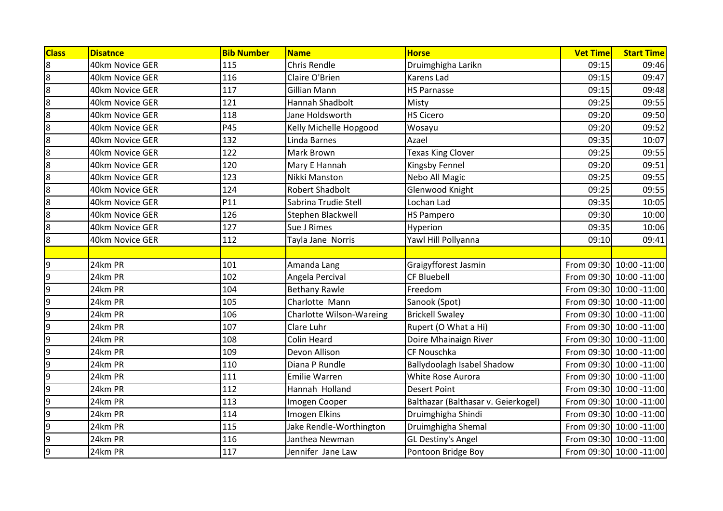| <b>Class</b>     | <b>Disatnce</b> | <b>Bib Number</b> | <b>Name</b>                     | <b>Horse</b>                        | <b>Vet Time</b> | <b>Start Time</b>        |
|------------------|-----------------|-------------------|---------------------------------|-------------------------------------|-----------------|--------------------------|
| $\overline{8}$   | 40km Novice GER | 115               | <b>Chris Rendle</b>             | Druimghigha Larikn                  | 09:15           | 09:46                    |
| 8                | 40km Novice GER | 116               | Claire O'Brien                  | Karens Lad                          | 09:15           | 09:47                    |
| 8                | 40km Novice GER | 117               | <b>Gillian Mann</b>             | <b>HS Parnasse</b>                  | 09:15           | 09:48                    |
| $\boldsymbol{8}$ | 40km Novice GER | 121               | Hannah Shadbolt                 | Misty                               | 09:25           | 09:55                    |
| $\boldsymbol{8}$ | 40km Novice GER | 118               | Jane Holdsworth                 | <b>HS Cicero</b>                    | 09:20           | 09:50                    |
| $\overline{8}$   | 40km Novice GER | P45               | Kelly Michelle Hopgood          | Wosayu                              | 09:20           | 09:52                    |
| $\boldsymbol{8}$ | 40km Novice GER | 132               | Linda Barnes                    | Azael                               | 09:35           | 10:07                    |
| $\overline{8}$   | 40km Novice GER | 122               | Mark Brown                      | <b>Texas King Clover</b>            | 09:25           | 09:55                    |
| 8                | 40km Novice GER | 120               | Mary E Hannah                   | Kingsby Fennel                      | 09:20           | 09:51                    |
| 8                | 40km Novice GER | 123               | Nikki Manston                   | Nebo All Magic                      | 09:25           | 09:55                    |
| $\overline{8}$   | 40km Novice GER | 124               | <b>Robert Shadbolt</b>          | Glenwood Knight                     | 09:25           | 09:55                    |
| 8                | 40km Novice GER | P11               | Sabrina Trudie Stell            | Lochan Lad                          | 09:35           | 10:05                    |
| 8                | 40km Novice GER | 126               | Stephen Blackwell               | <b>HS Pampero</b>                   | 09:30           | 10:00                    |
| 8                | 40km Novice GER | 127               | Sue J Rimes                     | Hyperion                            | 09:35           | 10:06                    |
| 8                | 40km Novice GER | 112               | Tayla Jane Norris               | Yawl Hill Pollyanna                 | 09:10           | 09:41                    |
|                  |                 |                   |                                 |                                     |                 |                          |
| 9                | 24km PR         | 101               | Amanda Lang                     | Graigyfforest Jasmin                |                 | From 09:30 10:00 -11:00  |
| $\overline{9}$   | 24km PR         | 102               | Angela Percival                 | <b>CF Bluebell</b>                  |                 | From 09:30 10:00 -11:00  |
| 9                | 24km PR         | 104               | <b>Bethany Rawle</b>            | Freedom                             |                 | From 09:30 10:00 -11:00  |
| 9                | 24km PR         | 105               | Charlotte Mann                  | Sanook (Spot)                       |                 | From 09:30 10:00 -11:00  |
| 9                | 24km PR         | 106               | <b>Charlotte Wilson-Wareing</b> | <b>Brickell Swaley</b>              |                 | From 09:30 10:00 - 11:00 |
| 9                | 24km PR         | 107               | Clare Luhr                      | Rupert (O What a Hi)                |                 | From 09:30 10:00 -11:00  |
| $\overline{9}$   | 24km PR         | 108               | <b>Colin Heard</b>              | Doire Mhainaign River               |                 | From 09:30 10:00 - 11:00 |
| $\overline{9}$   | 24km PR         | 109               | Devon Allison                   | CF Nouschka                         |                 | From 09:30 10:00 -11:00  |
| 9                | 24km PR         | 110               | Diana P Rundle                  | Ballydoolagh Isabel Shadow          |                 | From 09:30 10:00 - 11:00 |
| $\overline{9}$   | 24km PR         | 111               | <b>Emilie Warren</b>            | White Rose Aurora                   |                 | From 09:30 10:00 -11:00  |
| 9                | 24km PR         | 112               | Hannah Holland                  | <b>Desert Point</b>                 |                 | From 09:30 10:00 -11:00  |
| 9                | 24km PR         | 113               | Imogen Cooper                   | Balthazar (Balthasar v. Geierkogel) |                 | From 09:30 10:00 -11:00  |
| 9                | 24km PR         | 114               | Imogen Elkins                   | Druimghigha Shindi                  |                 | From 09:30 10:00 -11:00  |
| 9                | 24km PR         | 115               | Jake Rendle-Worthington         | Druimghigha Shemal                  |                 | From 09:30 10:00 -11:00  |
| 9                | 24km PR         | 116               | Janthea Newman                  | GL Destiny's Angel                  |                 | From 09:30 10:00 -11:00  |
| 9                | 24km PR         | 117               | Jennifer Jane Law               | Pontoon Bridge Boy                  |                 | From 09:30 10:00 -11:00  |